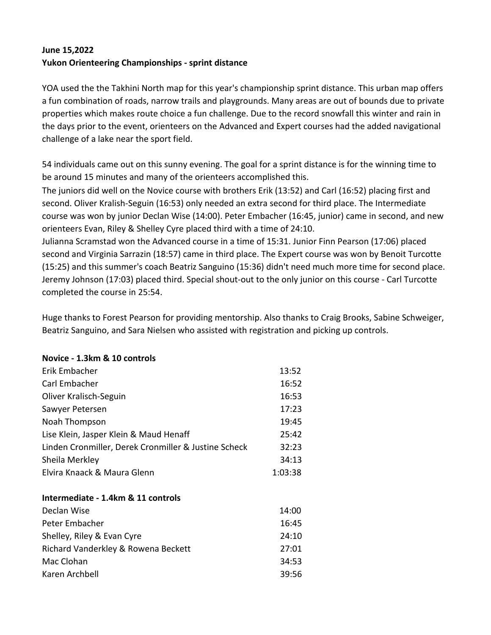## **June 15,2022 Yukon Orienteering Championships - sprint distance**

YOA used the the Takhini North map for this year's championship sprint distance. This urban map offers a fun combination of roads, narrow trails and playgrounds. Many areas are out of bounds due to private properties which makes route choice a fun challenge. Due to the record snowfall this winter and rain in the days prior to the event, orienteers on the Advanced and Expert courses had the added navigational challenge of a lake near the sport field.

54 individuals came out on this sunny evening. The goal for a sprint distance is for the winning time to be around 15 minutes and many of the orienteers accomplished this.

The juniors did well on the Novice course with brothers Erik (13:52) and Carl (16:52) placing first and second. Oliver Kralish-Seguin (16:53) only needed an extra second for third place. The Intermediate course was won by junior Declan Wise (14:00). Peter Embacher (16:45, junior) came in second, and new orienteers Evan, Riley & Shelley Cyre placed third with a time of 24:10.

Julianna Scramstad won the Advanced course in a time of 15:31. Junior Finn Pearson (17:06) placed second and Virginia Sarrazin (18:57) came in third place. The Expert course was won by Benoit Turcotte (15:25) and this summer's coach Beatriz Sanguino (15:36) didn't need much more time for second place. Jeremy Johnson (17:03) placed third. Special shout-out to the only junior on this course - Carl Turcotte completed the course in 25:54.

Huge thanks to Forest Pearson for providing mentorship. Also thanks to Craig Brooks, Sabine Schweiger, Beatriz Sanguino, and Sara Nielsen who assisted with registration and picking up controls.

| Novice - 1.3km & 10 controls                         |         |
|------------------------------------------------------|---------|
| Erik Embacher                                        | 13:52   |
| Carl Embacher                                        | 16:52   |
| Oliver Kralisch-Seguin                               | 16:53   |
| Sawyer Petersen                                      | 17:23   |
| Noah Thompson                                        | 19:45   |
| Lise Klein, Jasper Klein & Maud Henaff               | 25:42   |
| Linden Cronmiller, Derek Cronmiller & Justine Scheck | 32:23   |
| Sheila Merkley                                       | 34:13   |
| Elvira Knaack & Maura Glenn                          | 1:03:38 |
|                                                      |         |
| Intermediate - 1.4km & 11 controls                   |         |
| Declan Wise                                          | 14:00   |
| Peter Embacher                                       | 16:45   |
| Shelley, Riley & Evan Cyre                           | 24:10   |
| Richard Vanderkley & Rowena Beckett                  | 27:01   |
| Mac Clohan                                           | 34:53   |
| Karen Archbell                                       | 39:56   |
|                                                      |         |